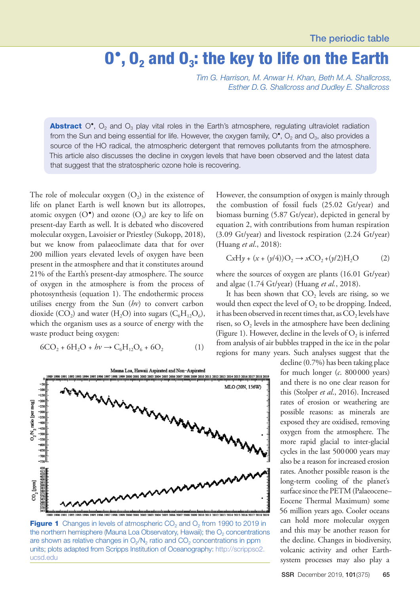## $0^{\circ}$ ,  $0_{2}$  and  $0_{3}$ : the key to life on the Earth

*Tim G. Harrison, M. Anwar H. Khan, Beth M.A. Shallcross, Esther D.G. Shallcross and Dudley E. Shallcross*

**Abstract**  $O^{\bullet}$ ,  $O_2$  and  $O_3$  play vital roles in the Earth's atmosphere, regulating ultraviolet radiation from the Sun and being essential for life. However, the oxygen family,  $O^{\bullet}$ ,  $O_2$  and  $O_3$ , also provides a source of the HO radical, the atmospheric detergent that removes pollutants from the atmosphere. This article also discusses the decline in oxygen levels that have been observed and the latest data that suggest that the stratospheric ozone hole is recovering.

The role of molecular oxygen  $(O_2)$  in the existence of life on planet Earth is well known but its allotropes, atomic oxygen  $(O^{\bullet})$  and ozone  $(O_3)$  are key to life on present-day Earth as well. It is debated who discovered molecular oxygen, Lavoisier or Priestley (Sukopp, 2018), but we know from palaeoclimate data that for over 200 million years elevated levels of oxygen have been present in the atmosphere and that it constitutes around 21% of the Earth's present-day atmosphere. The source of oxygen in the atmosphere is from the process of photosynthesis (equation 1). The endothermic process utilises energy from the Sun (*hν*) to convert carbon dioxide (CO<sub>2</sub>) and water (H<sub>2</sub>O) into sugars ( $C_6H_{12}O_6$ ), which the organism uses as a source of energy with the waste product being oxygen:

$$
6CO_2 + 6H_2O + hv \to C_6H_{12}O_6 + 6O_2 \tag{1}
$$



**Figure 1** Changes in levels of atmospheric  $CO<sub>2</sub>$  and  $O<sub>2</sub>$  from 1990 to 2019 in the northern hemisphere (Mauna Loa Observatory, Hawaii); the  $O<sub>2</sub>$  concentrations are shown as relative changes in  $O_2/N_2$  ratio and  $CO_2$  concentrations in ppm units; plots adapted from Scripps Institution of Oceanography: [http://scrippso2.](http://scrippso2.ucsd.edu) [ucsd.edu](http://scrippso2.ucsd.edu)

However, the consumption of oxygen is mainly through the combustion of fossil fuels (25.02 Gt/year) and biomass burning (5.87 Gt/year), depicted in general by equation 2, with contributions from human respiration (3.09 Gt/year) and livestock respiration (2.24 Gt/year) (Huang *et al*., 2018):

$$
CxHy + (x + (y/4))O2 \rightarrow xCO2 + (y/2)H2O
$$
 (2)

where the sources of oxygen are plants (16.01 Gt/year) and algae (1.74 Gt/year) (Huang *et al.*, 2018).

It has been shown that  $CO<sub>2</sub>$  levels are rising, so we would then expect the level of  $O_2$  to be dropping. Indeed, it has been observed in recent times that, as  $CO<sub>2</sub>$  levels have risen, so  $O_2$  levels in the atmosphere have been declining (Figure 1). However, decline in the levels of  $O_2$  is inferred from analysis of air bubbles trapped in the ice in the polar regions for many years. Such analyses suggest that the

> decline (0.7%) has been taking place for much longer (*c*. 800000 years) and there is no one clear reason for this (Stolper *et al*., 2016). Increased rates of erosion or weathering are possible reasons: as minerals are exposed they are oxidised, removing oxygen from the atmosphere. The more rapid glacial to inter-glacial cycles in the last 500000 years may also be a reason for increased erosion rates. Another possible reason is the long-term cooling of the planet's surface since the PETM (Palaeocene– Eocene Thermal Maximum) some 56 million years ago. Cooler oceans can hold more molecular oxygen and this may be another reason for the decline. Changes in biodiversity, volcanic activity and other Earthsystem processes may also play a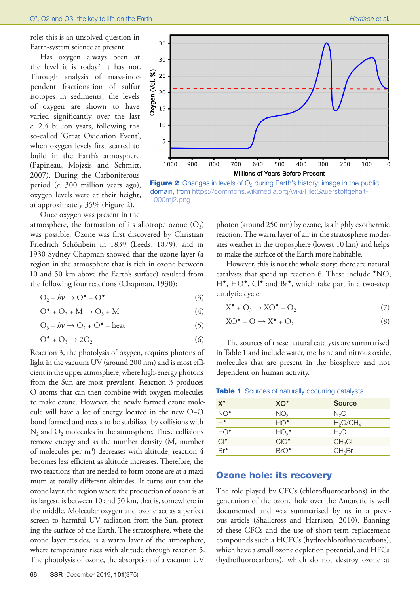role; this is an unsolved question in Earth-system science at present.

Has oxygen always been at the level it is today? It has not. Through analysis of mass-independent fractionation of sulfur isotopes in sediments, the levels of oxygen are shown to have varied significantly over the last *c*. 2.4 billion years, following the so-called 'Great Oxidation Event', when oxygen levels first started to build in the Earth's atmosphere (Papineau, Mojzsis and Schmitt, 2007). During the Carboniferous period (*c*. 300 million years ago), oxygen levels were at their height, at approximately 35% (Figure 2).

Once oxygen was present in the

atmosphere, the formation of its allotrope ozone  $(O_3)$ was possible. Ozone was first discovered by Christian Friedrich Schönbein in 1839 (Leeds, 1879), and in 1930 Sydney Chapman showed that the ozone layer (a region in the atmosphere that is rich in ozone between 10 and 50 km above the Earth's surface) resulted from the following four reactions (Chapman, 1930):

$$
O_2 + hv \to O^{\bullet} + O^{\bullet} \tag{3}
$$

$$
O^{\bullet} + O_2 + M \rightarrow O_3 + M \tag{4}
$$

$$
O_3 + hv \to O_2 + O^{\bullet} + heat
$$
 (5)

$$
O^{\bullet} + O_3 \to 2O_2 \tag{6}
$$

Reaction 3, the photolysis of oxygen, requires photons of light in the vacuum UV (around 200 nm) and is most efficient in the upper atmosphere, where high-energy photons from the Sun are most prevalent. Reaction 3 produces O atoms that can then combine with oxygen molecules to make ozone. However, the newly formed ozone molecule will have a lot of energy located in the new O−O bond formed and needs to be stabilised by collisions with  $N<sub>2</sub>$  and  $O<sub>2</sub>$  molecules in the atmosphere. These collisions remove energy and as the number density (M, number of molecules per m<sup>3</sup>) decreases with altitude, reaction 4 becomes less efficient as altitude increases. Therefore, the two reactions that are needed to form ozone are at a maximum at totally different altitudes. It turns out that the ozone layer, the region where the production of ozone is at its largest, is between 10 and 50 km, that is, somewhere in the middle. Molecular oxygen and ozone act as a perfect screen to harmful UV radiation from the Sun, protecting the surface of the Earth. The stratosphere, where the ozone layer resides, is a warm layer of the atmosphere, where temperature rises with altitude through reaction 5. The photolysis of ozone, the absorption of a vacuum UV



**Figure 2** Changes in levels of  $O<sub>2</sub>$  during Earth's history; image in the public domain, from [https://commons.wikimedia.org/wiki/File:Sauerstoffgehalt-](https://commons.wikimedia.org/wiki/File:Sauerstoffgehalt-1000mj2.png)[1000mj2.png](https://commons.wikimedia.org/wiki/File:Sauerstoffgehalt-1000mj2.png)

photon (around 250 nm) by ozone, is a highly exothermic reaction. The warm layer of air in the stratosphere moderates weather in the troposphere (lowest 10 km) and helps to make the surface of the Earth more habitable.

However, this is not the whole story: there are natural catalysts that speed up reaction 6. These include •NO, H<sup>\*</sup>, HO<sup>\*</sup>, Cl<sup>\*</sup> and Br<sup>\*</sup>, which take part in a two-step catalytic cycle:

$$
X^{\bullet} + O_3 \to KO^{\bullet} + O_2 \tag{7}
$$

$$
XO^{\bullet} + O \to X^{\bullet} + O_2 \tag{8}
$$

The sources of these natural catalysts are summarised in Table 1 and include water, methane and nitrous oxide, molecules that are present in the biosphere and not dependent on human activity.

|  | Table 1 Sources of naturally occurring catalysts |  |  |
|--|--------------------------------------------------|--|--|
|--|--------------------------------------------------|--|--|

| $X^{\bullet}$   | XO.              | Source             |
|-----------------|------------------|--------------------|
| $NO^{\bullet}$  | NO <sub>2</sub>  | N <sub>2</sub> O   |
| $\overline{H}$  | $HO^{\bullet}$   | $H_2O/CH_4$        |
| 'HO'            | HO <sub>2</sub>  | H <sub>2</sub> O   |
| $Cl^{\bullet}$  | $CIO^{\bullet}$  | CH <sub>3</sub> Cl |
| Br <sup>•</sup> | BrO <sup>•</sup> | CH <sub>3</sub> Br |

## Ozone hole: its recovery

The role played by CFCs (chlorofluorocarbons) in the generation of the ozone hole over the Antarctic is well documented and was summarised by us in a previous article (Shallcross and Harrison, 2010). Banning of these CFCs and the use of short-term replacement compounds such a HCFCs (hydrochlorofluorocarbons), which have a small ozone depletion potential, and HFCs (hydrofluorocarbons), which do not destroy ozone at